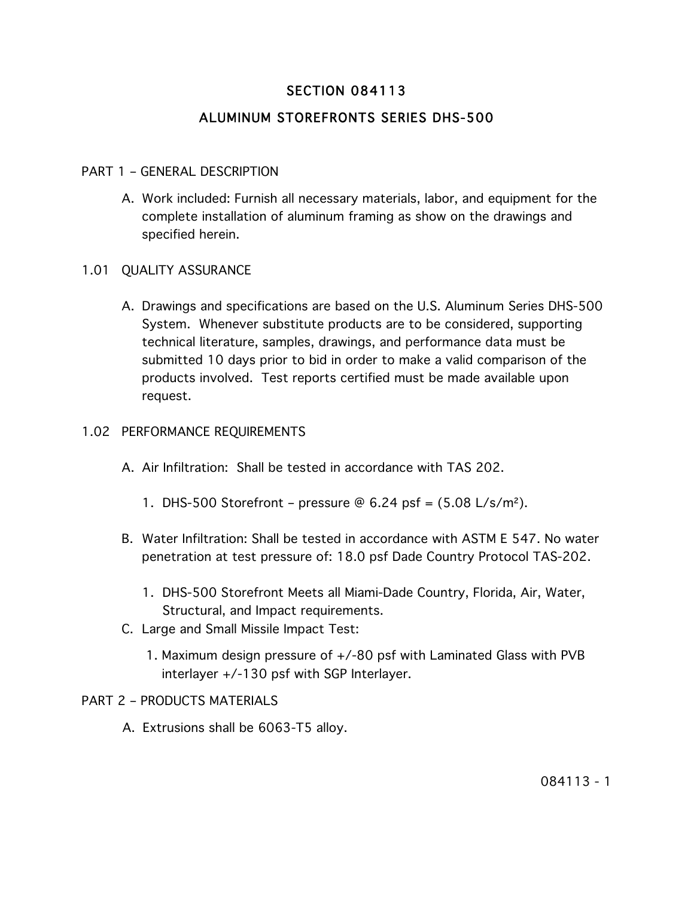# SECTION 084113

# ALUMINUM STOREFRONTS SERIES DHS-500

#### PART 1 – GENERAL DESCRIPTION

A. Work included: Furnish all necessary materials, labor, and equipment for the complete installation of aluminum framing as show on the drawings and specified herein.

#### 1.01 QUALITY ASSURANCE

A. Drawings and specifications are based on the U.S. Aluminum Series DHS-500 System. Whenever substitute products are to be considered, supporting technical literature, samples, drawings, and performance data must be submitted 10 days prior to bid in order to make a valid comparison of the products involved. Test reports certified must be made available upon request.

#### 1.02 PERFORMANCE REQUIREMENTS

- A. Air Infiltration: Shall be tested in accordance with TAS 202.
	- 1. DHS-500 Storefront pressure  $\Theta$  6.24 psf =  $(5.08 \text{ L/s/m}^2)$ .
- B. Water Infiltration: Shall be tested in accordance with ASTM E 547. No water penetration at test pressure of: 18.0 psf Dade Country Protocol TAS-202.
	- 1. DHS-500 Storefront Meets all Miami-Dade Country, Florida, Air, Water, Structural, and Impact requirements.
- C. Large and Small Missile Impact Test:
	- 1. Maximum design pressure of +/-80 psf with Laminated Glass with PVB interlayer +/-130 psf with SGP Interlayer.

#### PART 2 – PRODUCTS MATERIALS

A. Extrusions shall be 6063-T5 alloy.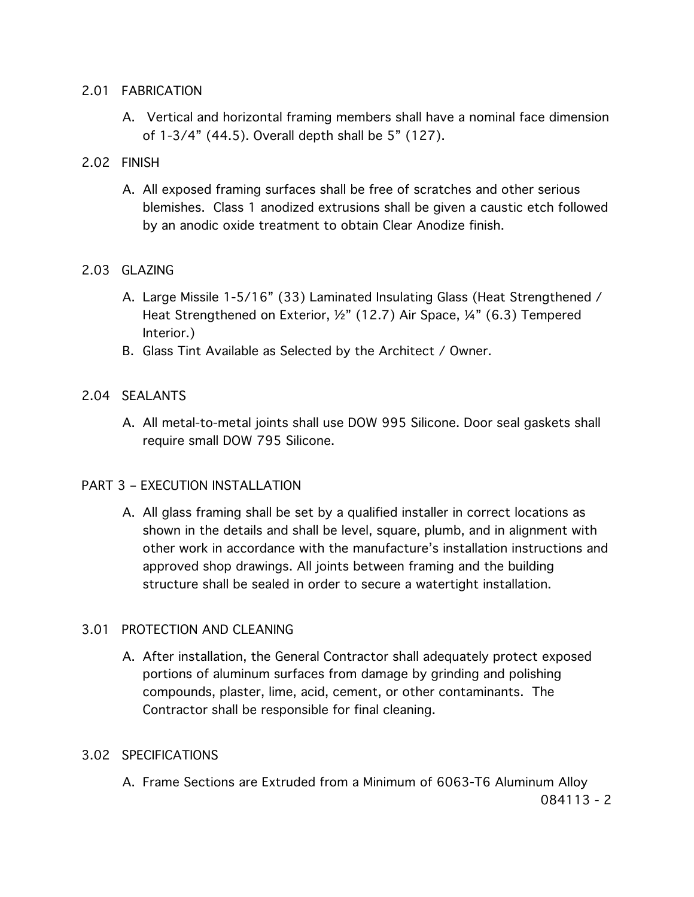#### 2.01 FABRICATION

A. Vertical and horizontal framing members shall have a nominal face dimension of 1-3/4" (44.5). Overall depth shall be 5" (127).

### 2.02 FINISH

A. All exposed framing surfaces shall be free of scratches and other serious blemishes. Class 1 anodized extrusions shall be given a caustic etch followed by an anodic oxide treatment to obtain Clear Anodize finish.

### 2.03 GLAZING

- A. Large Missile 1-5/16" (33) Laminated Insulating Glass (Heat Strengthened / Heat Strengthened on Exterior, ½" (12.7) Air Space, ¼" (6.3) Tempered Interior.)
- B. Glass Tint Available as Selected by the Architect / Owner.

# 2.04 SEALANTS

A. All metal-to-metal joints shall use DOW 995 Silicone. Door seal gaskets shall require small DOW 795 Silicone.

### PART 3 – EXECUTION INSTALLATION

A. All glass framing shall be set by a qualified installer in correct locations as shown in the details and shall be level, square, plumb, and in alignment with other work in accordance with the manufacture's installation instructions and approved shop drawings. All joints between framing and the building structure shall be sealed in order to secure a watertight installation.

### 3.01 PROTECTION AND CLEANING

A. After installation, the General Contractor shall adequately protect exposed portions of aluminum surfaces from damage by grinding and polishing compounds, plaster, lime, acid, cement, or other contaminants. The Contractor shall be responsible for final cleaning.

### 3.02 SPECIFICATIONS

A. Frame Sections are Extruded from a Minimum of 6063-T6 Aluminum Alloy